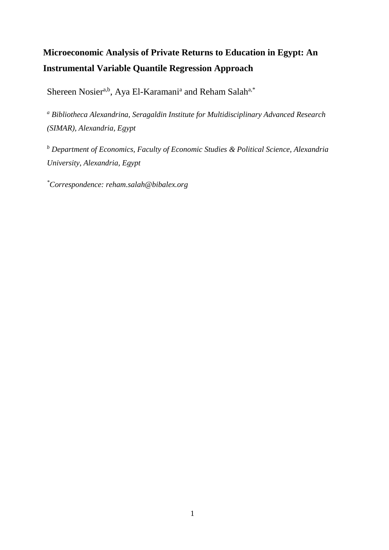# **Microeconomic Analysis of Private Returns to Education in Egypt: An Instrumental Variable Quantile Regression Approach**

Shereen Nosier<sup>a,b</sup>, Aya El-Karamani<sup>a</sup> and Reham Salah<sup>a,\*</sup>

*<sup>a</sup> Bibliotheca Alexandrina, Seragaldin Institute for Multidisciplinary Advanced Research (SIMAR), Alexandria, Egypt*

*<sup>b</sup> Department of Economics, Faculty of Economic Studies & Political Science, Alexandria University, Alexandria, Egypt*

*\*Correspondence: [reham.salah@bibalex.org](mailto:reham.salah@bibalex.org)*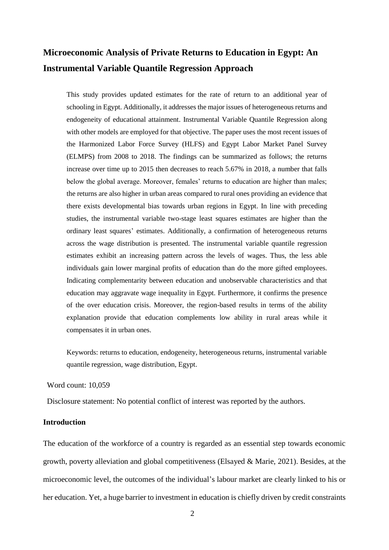# **Microeconomic Analysis of Private Returns to Education in Egypt: An Instrumental Variable Quantile Regression Approach**

This study provides updated estimates for the rate of return to an additional year of schooling in Egypt. Additionally, it addresses the major issues of heterogeneous returns and endogeneity of educational attainment. Instrumental Variable Quantile Regression along with other models are employed for that objective. The paper uses the most recent issues of the Harmonized Labor Force Survey (HLFS) and Egypt Labor Market Panel Survey (ELMPS) from 2008 to 2018. The findings can be summarized as follows; the returns increase over time up to 2015 then decreases to reach 5.67% in 2018, a number that falls below the global average. Moreover, females' returns to education are higher than males; the returns are also higher in urban areas compared to rural ones providing an evidence that there exists developmental bias towards urban regions in Egypt. In line with preceding studies, the instrumental variable two-stage least squares estimates are higher than the ordinary least squares' estimates. Additionally, a confirmation of heterogeneous returns across the wage distribution is presented. The instrumental variable quantile regression estimates exhibit an increasing pattern across the levels of wages. Thus, the less able individuals gain lower marginal profits of education than do the more gifted employees. Indicating complementarity between education and unobservable characteristics and that education may aggravate wage inequality in Egypt. Furthermore, it confirms the presence of the over education crisis. Moreover, the region-based results in terms of the ability explanation provide that education complements low ability in rural areas while it compensates it in urban ones.

Keywords: returns to education, endogeneity, heterogeneous returns, instrumental variable quantile regression, wage distribution, Egypt.

Word count: 10,059

Disclosure statement: No potential conflict of interest was reported by the authors.

#### **Introduction**

The education of the workforce of a country is regarded as an essential step towards economic growth, poverty alleviation and global competitiveness (Elsayed & Marie, 2021). Besides, at the microeconomic level, the outcomes of the individual's labour market are clearly linked to his or her education. Yet, a huge barrier to investment in education is chiefly driven by credit constraints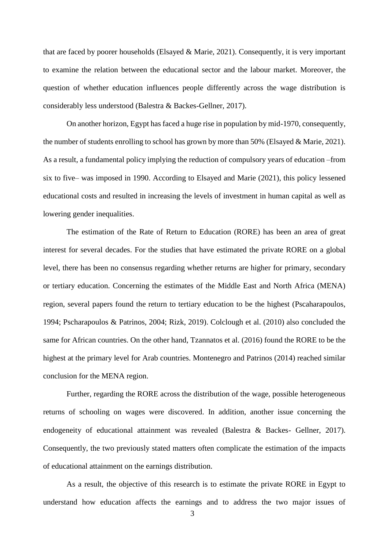that are faced by poorer households (Elsayed & Marie, 2021). Consequently, it is very important to examine the relation between the educational sector and the labour market. Moreover, the question of whether education influences people differently across the wage distribution is considerably less understood (Balestra & Backes-Gellner, 2017).

On another horizon, Egypt has faced a huge rise in population by mid-1970, consequently, the number of students enrolling to school has grown by more than 50% (Elsayed & Marie, 2021). As a result, a fundamental policy implying the reduction of compulsory years of education –from six to five– was imposed in 1990. According to Elsayed and Marie (2021), this policy lessened educational costs and resulted in increasing the levels of investment in human capital as well as lowering gender inequalities.

The estimation of the Rate of Return to Education (RORE) has been an area of great interest for several decades. For the studies that have estimated the private RORE on a global level, there has been no consensus regarding whether returns are higher for primary, secondary or tertiary education. Concerning the estimates of the Middle East and North Africa (MENA) region, several papers found the return to tertiary education to be the highest (Pscaharapoulos, 1994; Pscharapoulos & Patrinos, 2004; Rizk, 2019). Colclough et al. (2010) also concluded the same for African countries. On the other hand, Tzannatos et al. (2016) found the RORE to be the highest at the primary level for Arab countries. Montenegro and Patrinos (2014) reached similar conclusion for the MENA region.

Further, regarding the RORE across the distribution of the wage, possible heterogeneous returns of schooling on wages were discovered. In addition, another issue concerning the endogeneity of educational attainment was revealed (Balestra & Backes- Gellner, 2017). Consequently, the two previously stated matters often complicate the estimation of the impacts of educational attainment on the earnings distribution.

As a result, the objective of this research is to estimate the private RORE in Egypt to understand how education affects the earnings and to address the two major issues of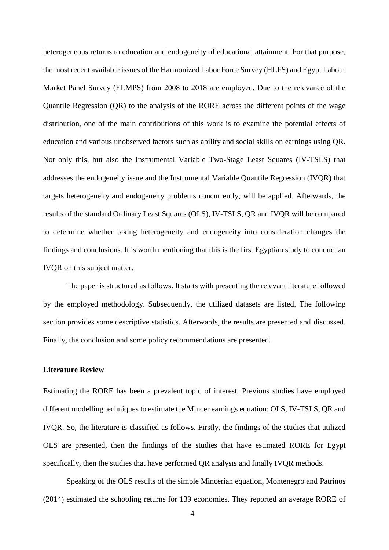heterogeneous returns to education and endogeneity of educational attainment. For that purpose, the most recent available issues of the Harmonized Labor Force Survey (HLFS) and Egypt Labour Market Panel Survey (ELMPS) from 2008 to 2018 are employed. Due to the relevance of the Quantile Regression (QR) to the analysis of the RORE across the different points of the wage distribution, one of the main contributions of this work is to examine the potential effects of education and various unobserved factors such as ability and social skills on earnings using QR. Not only this, but also the Instrumental Variable Two-Stage Least Squares (IV-TSLS) that addresses the endogeneity issue and the Instrumental Variable Quantile Regression (IVQR) that targets heterogeneity and endogeneity problems concurrently, will be applied. Afterwards, the results of the standard Ordinary Least Squares (OLS), IV-TSLS, QR and IVQR will be compared to determine whether taking heterogeneity and endogeneity into consideration changes the findings and conclusions. It is worth mentioning that this is the first Egyptian study to conduct an IVQR on this subject matter.

The paper is structured as follows. It starts with presenting the relevant literature followed by the employed methodology. Subsequently, the utilized datasets are listed. The following section provides some descriptive statistics. Afterwards, the results are presented and discussed. Finally, the conclusion and some policy recommendations are presented.

## **Literature Review**

Estimating the RORE has been a prevalent topic of interest. Previous studies have employed different modelling techniques to estimate the Mincer earnings equation; OLS, IV-TSLS, QR and IVQR. So, the literature is classified as follows. Firstly, the findings of the studies that utilized OLS are presented, then the findings of the studies that have estimated RORE for Egypt specifically, then the studies that have performed QR analysis and finally IVQR methods.

Speaking of the OLS results of the simple Mincerian equation, Montenegro and Patrinos (2014) estimated the schooling returns for 139 economies. They reported an average RORE of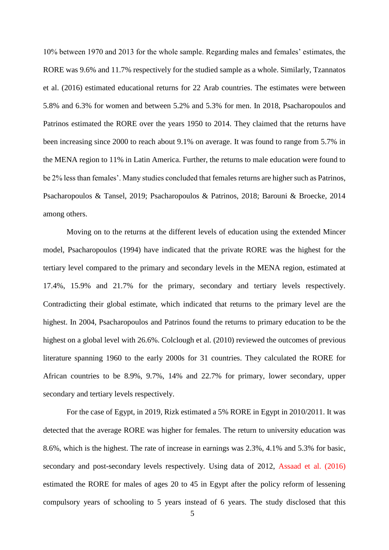10% between 1970 and 2013 for the whole sample. Regarding males and females' estimates, the RORE was 9.6% and 11.7% respectively for the studied sample as a whole. Similarly, Tzannatos et al. (2016) estimated educational returns for 22 Arab countries. The estimates were between 5.8% and 6.3% for women and between 5.2% and 5.3% for men. In 2018, Psacharopoulos and Patrinos estimated the RORE over the years 1950 to 2014. They claimed that the returns have been increasing since 2000 to reach about 9.1% on average. It was found to range from 5.7% in the MENA region to 11% in Latin America. Further, the returns to male education were found to be 2% less than females'. Many studies concluded that females returns are higher such as Patrinos, Psacharopoulos & Tansel, 2019; Psacharopoulos & Patrinos, 2018; Barouni & Broecke, 2014 among others.

Moving on to the returns at the different levels of education using the extended Mincer model, Psacharopoulos (1994) have indicated that the private RORE was the highest for the tertiary level compared to the primary and secondary levels in the MENA region, estimated at 17.4%, 15.9% and 21.7% for the primary, secondary and tertiary levels respectively. Contradicting their global estimate, which indicated that returns to the primary level are the highest. In 2004, Psacharopoulos and Patrinos found the returns to primary education to be the highest on a global level with 26.6%. Colclough et al. (2010) reviewed the outcomes of previous literature spanning 1960 to the early 2000s for 31 countries. They calculated the RORE for African countries to be 8.9%, 9.7%, 14% and 22.7% for primary, lower secondary, upper secondary and tertiary levels respectively.

For the case of Egypt, in 2019, Rizk estimated a 5% RORE in Egypt in 2010/2011. It was detected that the average RORE was higher for females. The return to university education was 8.6%, which is the highest. The rate of increase in earnings was 2.3%, 4.1% and 5.3% for basic, secondary and post-secondary levels respectively. Using data of 2012, Assaad et al. (2016) estimated the RORE for males of ages 20 to 45 in Egypt after the policy reform of lessening compulsory years of schooling to 5 years instead of 6 years. The study disclosed that this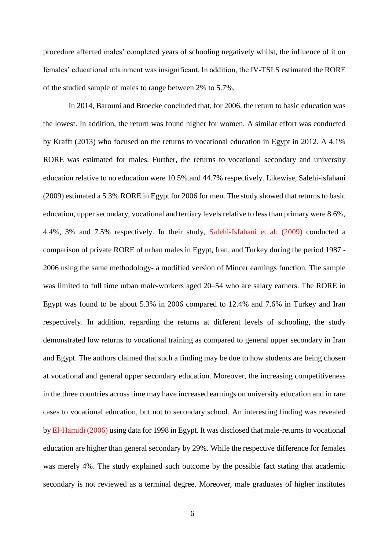procedure affected males' completed years of schooling negatively whilst, the influence of it on females' educational attainment was insignificant. In addition, the IV-TSLS estimated the RORE of the studied sample of males to range between 2% to 5.7%.

In 2014, Barouni and Broecke concluded that, for 2006, the return to basic education was the lowest. In addition, the return was found higher for women. A similar effort was conducted by Krafft (2013) who focused on the returns to vocational education in Egypt in 2012. A 4.1% RORE was estimated for males. Further, the returns to vocational secondary and university education relative to no education were 10.5%.and 44.7% respectively. Likewise, Salehi-isfahani (2009) estimated a 5.3% RORE in Egypt for 2006 for men. The study showed that returns to basic education, upper secondary, vocational and tertiary levels relative to less than primary were 8.6%, 4.4%, 3% and 7.5% respectively. In their study, Salehi-Isfahani et al. (2009) conducted a comparison of private RORE of urban males in Egypt, Iran, and Turkey during the period 1987 - 2006 using the same methodology- a modified version of Mincer earnings function. The sample was limited to full time urban male-workers aged 20–54 who are salary earners. The RORE in Egypt was found to be about 5.3% in 2006 compared to 12.4% and 7.6% in Turkey and Iran respectively. In addition, regarding the returns at different levels of schooling, the study demonstrated low returns to vocational training as compared to general upper secondary in Iran and Egypt. The authors claimed that such a finding may be due to how students are being chosen at vocational and general upper secondary education. Moreover, the increasing competitiveness in the three countries across time may have increased earnings on university education and in rare cases to vocational education, but not to secondary school. An interesting finding was revealed by El-Hamidi (2006) using data for 1998 in Egypt. It was disclosed that male-returns to vocational education are higher than general secondary by 29%. While the respective difference for females was merely 4%. The study explained such outcome by the possible fact stating that academic secondary is not reviewed as a terminal degree. Moreover, male graduates of higher institutes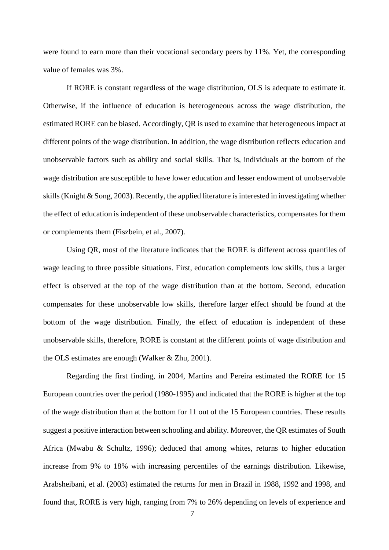were found to earn more than their vocational secondary peers by 11%. Yet, the corresponding value of females was 3%.

If RORE is constant regardless of the wage distribution, OLS is adequate to estimate it. Otherwise, if the influence of education is heterogeneous across the wage distribution, the estimated RORE can be biased. Accordingly, QR is used to examine that heterogeneous impact at different points of the wage distribution. In addition, the wage distribution reflects education and unobservable factors such as ability and social skills. That is, individuals at the bottom of the wage distribution are susceptible to have lower education and lesser endowment of unobservable skills (Knight & Song, 2003). Recently, the applied literature is interested in investigating whether the effect of education is independent of these unobservable characteristics, compensates for them or complements them (Fiszbein, et al., 2007).

Using QR, most of the literature indicates that the RORE is different across quantiles of wage leading to three possible situations. First, education complements low skills, thus a larger effect is observed at the top of the wage distribution than at the bottom. Second, education compensates for these unobservable low skills, therefore larger effect should be found at the bottom of the wage distribution. Finally, the effect of education is independent of these unobservable skills, therefore, RORE is constant at the different points of wage distribution and the OLS estimates are enough (Walker & Zhu, 2001).

Regarding the first finding, in 2004, Martins and Pereira estimated the RORE for 15 European countries over the period (1980-1995) and indicated that the RORE is higher at the top of the wage distribution than at the bottom for 11 out of the 15 European countries. These results suggest a positive interaction between schooling and ability. Moreover, the QR estimates of South Africa (Mwabu & Schultz, 1996); deduced that among whites, returns to higher education increase from 9% to 18% with increasing percentiles of the earnings distribution. Likewise, Arabsheibani, et al. (2003) estimated the returns for men in Brazil in 1988, 1992 and 1998, and found that, RORE is very high, ranging from 7% to 26% depending on levels of experience and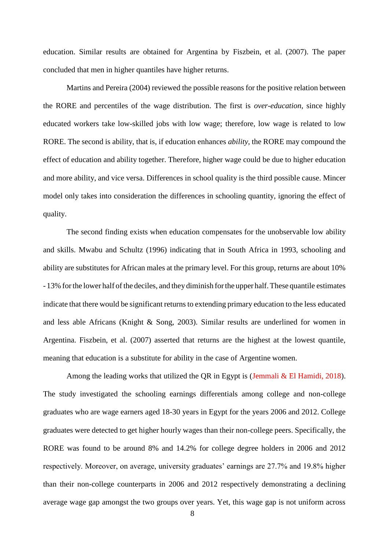education. Similar results are obtained for Argentina by Fiszbein, et al. (2007). The paper concluded that men in higher quantiles have higher returns.

Martins and Pereira (2004) reviewed the possible reasons for the positive relation between the RORE and percentiles of the wage distribution. The first is *over-education*, since highly educated workers take low-skilled jobs with low wage; therefore, low wage is related to low RORE. The second is ability, that is, if education enhances *ability*, the RORE may compound the effect of education and ability together. Therefore, higher wage could be due to higher education and more ability, and vice versa. Differences in school quality is the third possible cause. Mincer model only takes into consideration the differences in schooling quantity, ignoring the effect of quality.

The second finding exists when education compensates for the unobservable low ability and skills. Mwabu and Schultz (1996) indicating that in South Africa in 1993, schooling and ability are substitutes for African males at the primary level. For this group, returns are about 10% - 13% forthe lower half ofthe deciles, and they diminish forthe upper half.These quantile estimates indicate that there would be significant returnsto extending primary education to the less educated and less able Africans (Knight & Song, 2003). Similar results are underlined for women in Argentina. Fiszbein, et al. (2007) asserted that returns are the highest at the lowest quantile, meaning that education is a substitute for ability in the case of Argentine women.

Among the leading works that utilized the QR in Egypt is (Jemmali & El Hamidi, 2018). The study investigated the schooling earnings differentials among college and non-college graduates who are wage earners aged 18-30 years in Egypt for the years 2006 and 2012. College graduates were detected to get higher hourly wages than their non-college peers. Specifically, the RORE was found to be around 8% and 14.2% for college degree holders in 2006 and 2012 respectively. Moreover, on average, university graduates' earnings are 27.7% and 19.8% higher than their non-college counterparts in 2006 and 2012 respectively demonstrating a declining average wage gap amongst the two groups over years. Yet, this wage gap is not uniform across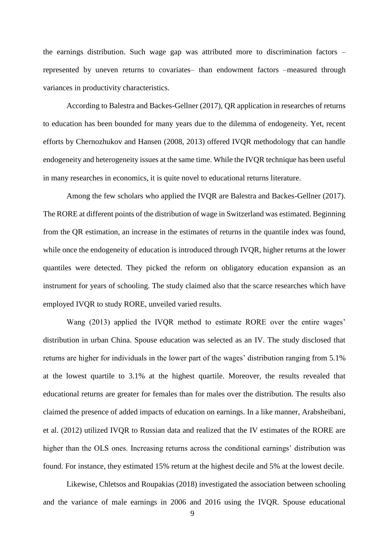the earnings distribution. Such wage gap was attributed more to discrimination factors – represented by uneven returns to covariates– than endowment factors –measured through variances in productivity characteristics.

According to Balestra and Backes-Gellner (2017), QR application in researches of returns to education has been bounded for many years due to the dilemma of endogeneity. Yet, recent efforts by Chernozhukov and Hansen (2008, 2013) offered IVQR methodology that can handle endogeneity and heterogeneity issues at the same time. While the IVQR technique has been useful in many researches in economics, it is quite novel to educational returns literature.

Among the few scholars who applied the IVQR are Balestra and Backes-Gellner (2017). The RORE at different points of the distribution of wage in Switzerland was estimated. Beginning from the QR estimation, an increase in the estimates of returns in the quantile index was found, while once the endogeneity of education is introduced through IVQR, higher returns at the lower quantiles were detected. They picked the reform on obligatory education expansion as an instrument for years of schooling. The study claimed also that the scarce researches which have employed IVQR to study RORE, unveiled varied results.

Wang (2013) applied the IVQR method to estimate RORE over the entire wages' distribution in urban China. Spouse education was selected as an IV. The study disclosed that returns are higher for individuals in the lower part of the wages' distribution ranging from 5.1% at the lowest quartile to 3.1% at the highest quartile. Moreover, the results revealed that educational returns are greater for females than for males over the distribution. The results also claimed the presence of added impacts of education on earnings. In a like manner, Arabsheibani, et al. (2012) utilized IVQR to Russian data and realized that the IV estimates of the RORE are higher than the OLS ones. Increasing returns across the conditional earnings' distribution was found. For instance, they estimated 15% return at the highest decile and 5% at the lowest decile.

Likewise, Chletsos and Roupakias (2018) investigated the association between schooling and the variance of male earnings in 2006 and 2016 using the IVQR. Spouse educational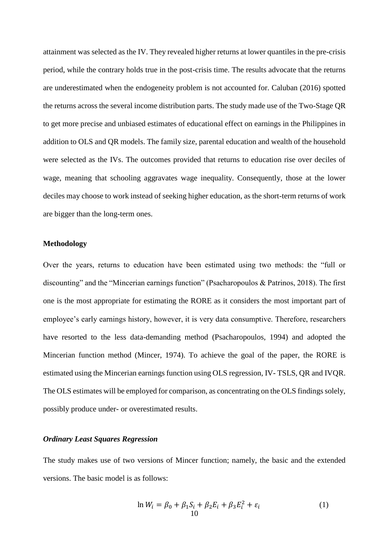attainment was selected as the IV. They revealed higher returns at lower quantiles in the pre-crisis period, while the contrary holds true in the post-crisis time. The results advocate that the returns are underestimated when the endogeneity problem is not accounted for. Caluban (2016) spotted the returns across the several income distribution parts. The study made use of the Two-Stage QR to get more precise and unbiased estimates of educational effect on earnings in the Philippines in addition to OLS and QR models. The family size, parental education and wealth of the household were selected as the IVs. The outcomes provided that returns to education rise over deciles of wage, meaning that schooling aggravates wage inequality. Consequently, those at the lower deciles may choose to work instead of seeking higher education, as the short-term returns of work are bigger than the long-term ones.

## **Methodology**

Over the years, returns to education have been estimated using two methods: the "full or discounting" and the "Mincerian earnings function" (Psacharopoulos & Patrinos, 2018). The first one is the most appropriate for estimating the RORE as it considers the most important part of employee's early earnings history, however, it is very data consumptive. Therefore, researchers have resorted to the less data-demanding method (Psacharopoulos, 1994) and adopted the Mincerian function method (Mincer, 1974). To achieve the goal of the paper, the RORE is estimated using the Mincerian earnings function using OLS regression, IV- TSLS, QR and IVQR. The OLS estimates will be employed for comparison, as concentrating on the OLS findings solely, possibly produce under- or overestimated results.

# *Ordinary Least Squares Regression*

The study makes use of two versions of Mincer function; namely, the basic and the extended versions. The basic model is as follows:

$$
\ln W_i = \beta_0 + \beta_1 S_i + \beta_2 E_i + \beta_3 E_i^2 + \varepsilon_i
$$
\n(1)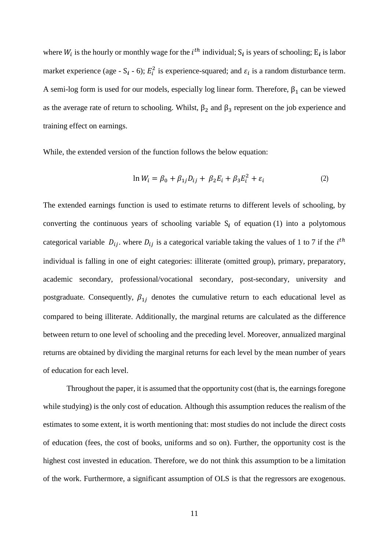where  $W_i$  is the hourly or monthly wage for the  $i^{th}$  individual;  $S_i$  is years of schooling;  $E_i$  is labor market experience (age - S<sub>i</sub> - 6);  $E_i^2$  is experience-squared; and  $\varepsilon_i$  is a random disturbance term. A semi-log form is used for our models, especially log linear form. Therefore,  $\beta_1$  can be viewed as the average rate of return to schooling. Whilst,  $\beta_2$  and  $\beta_3$  represent on the job experience and training effect on earnings.

While, the extended version of the function follows the below equation:

$$
\ln W_i = \beta_0 + \beta_{1j} D_{ij} + \beta_2 E_i + \beta_3 E_i^2 + \varepsilon_i
$$
 (2)

The extended earnings function is used to estimate returns to different levels of schooling, by converting the continuous years of schooling variable  $S_i$  of equation (1) into a polytomous categorical variable  $D_{ij}$ . where  $D_{ij}$  is a categorical variable taking the values of 1 to 7 if the *i*<sup>th</sup> individual is falling in one of eight categories: illiterate (omitted group), primary, preparatory, academic secondary, professional/vocational secondary, post-secondary, university and postgraduate. Consequently,  $\beta_{1j}$  denotes the cumulative return to each educational level as compared to being illiterate. Additionally, the marginal returns are calculated as the difference between return to one level of schooling and the preceding level. Moreover, annualized marginal returns are obtained by dividing the marginal returns for each level by the mean number of years of education for each level.

Throughout the paper, it is assumed that the opportunity cost (that is, the earnings foregone while studying) is the only cost of education. Although this assumption reduces the realism of the estimates to some extent, it is worth mentioning that: most studies do not include the direct costs of education (fees, the cost of books, uniforms and so on). Further, the opportunity cost is the highest cost invested in education. Therefore, we do not think this assumption to be a limitation of the work. Furthermore, a significant assumption of OLS is that the regressors are exogenous.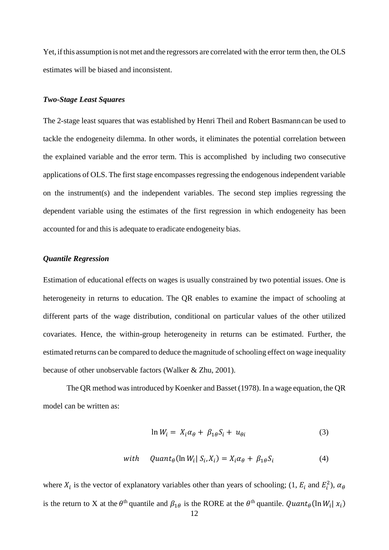Yet, if this assumption is not met and the regressors are correlated with the error term then, the OLS estimates will be biased and inconsistent.

# *Two-Stage Least Squares*

The 2-stage least squares that was established by Henri Theil and Robert Basmanncan be used to tackle the endogeneity dilemma. In other words, it eliminates the potential correlation between the explained variable and the error term. This is accomplished by including two consecutive applications of OLS. The first stage encompasses regressing the endogenous independent variable on the instrument(s) and the independent variables. The second step implies regressing the dependent variable using the estimates of the first regression in which endogeneity has been accounted for and this is adequate to eradicate endogeneity bias.

## *Quantile Regression*

Estimation of educational effects on wages is usually constrained by two potential issues. One is heterogeneity in returns to education. The QR enables to examine the impact of schooling at different parts of the wage distribution, conditional on particular values of the other utilized covariates. Hence, the within-group heterogeneity in returns can be estimated. Further, the estimated returns can be compared to deduce the magnitude of schooling effect on wage inequality because of other unobservable factors (Walker & Zhu, 2001).

The QR method wasintroduced by Koenker and Basset (1978). In a wage equation, the QR model can be written as:

$$
\ln W_i = X_i \alpha_\theta + \beta_{1\theta} S_i + u_{\theta i} \tag{3}
$$

with 
$$
Quant_{\theta}(\ln W_i | S_i, X_i) = X_i \alpha_{\theta} + \beta_{1\theta} S_i
$$
 (4)

where  $X_i$  is the vector of explanatory variables other than years of schooling; (1,  $E_i$  and  $E_i^2$ ),  $\alpha_{\theta}$ is the return to X at the  $\theta^{th}$  quantile and  $\beta_{1\theta}$  is the RORE at the  $\theta^{th}$  quantile.  $Quant_{\theta}(\ln W_i | x_i)$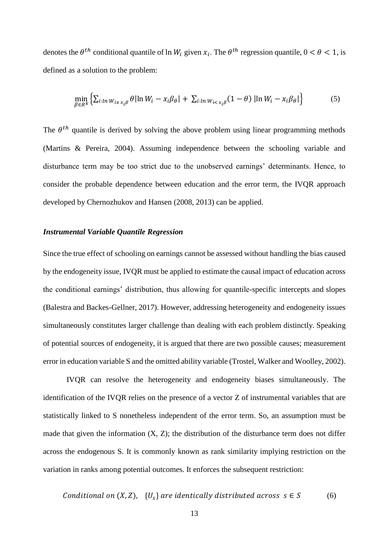denotes the  $\theta^{th}$  conditional quantile of  $\ln W_i$  given  $x_i$ . The  $\theta^{th}$  regression quantile,  $0 < \theta < 1$ , is defined as a solution to the problem:

$$
\min_{\beta \in R^k} \left\{ \sum_{i: \ln W_{i \ge x_i \beta}} \theta |\ln W_i - x_i \beta_\theta| + \sum_{i: \ln W_{i < x_i \beta}} (1 - \theta) |\ln W_i - x_i \beta_\theta| \right\} \tag{5}
$$

The  $\theta^{th}$  quantile is derived by solving the above problem using linear programming methods (Martins & Pereira, 2004). Assuming independence between the schooling variable and disturbance term may be too strict due to the unobserved earnings' determinants. Hence, to consider the probable dependence between education and the error term, the IVQR approach developed by Chernozhukov and Hansen (2008, 2013) can be applied.

#### *Instrumental Variable Quantile Regression*

Since the true effect of schooling on earnings cannot be assessed without handling the bias caused by the endogeneity issue, IVQR must be applied to estimate the causal impact of education across the conditional earnings' distribution, thus allowing for quantile-specific intercepts and slopes (Balestra and Backes-Gellner, 2017). However, addressing heterogeneity and endogeneity issues simultaneously constitutes larger challenge than dealing with each problem distinctly. Speaking of potential sources of endogeneity, it is argued that there are two possible causes; measurement error in education variable S and the omitted ability variable (Trostel, Walker and Woolley, 2002).

IVQR can resolve the heterogeneity and endogeneity biases simultaneously. The identification of the IVQR relies on the presence of a vector Z of instrumental variables that are statistically linked to S nonetheless independent of the error term. So, an assumption must be made that given the information  $(X, Z)$ ; the distribution of the disturbance term does not differ across the endogenous S. It is commonly known as rank similarity implying restriction on the variation in ranks among potential outcomes. It enforces the subsequent restriction:

Conditional on 
$$
(X, Z)
$$
,  $\{U_s\}$  are identically distributed across  $s \in S$  (6)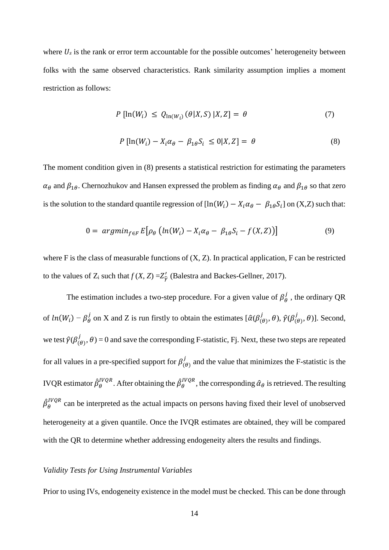where  $U_s$  is the rank or error term accountable for the possible outcomes' heterogeneity between folks with the same observed characteristics. Rank similarity assumption implies a moment restriction as follows:

$$
P\left[\ln(W_i) \le Q_{\ln(W_i)}\left(\theta|X, S\right)|X, Z\right] = \theta \tag{7}
$$

$$
P\left[\ln(W_i) - X_i \alpha_\theta - \beta_{1\theta} S_i \le 0 | X, Z\right] = \theta \tag{8}
$$

The moment condition given in (8) presents a statistical restriction for estimating the parameters  $\alpha_\theta$  and  $\beta_{1\theta}$ . Chernozhukov and Hansen expressed the problem as finding  $\alpha_\theta$  and  $\beta_{1\theta}$  so that zero is the solution to the standard quantile regression of  $[\ln(W_i) - X_i \alpha_\theta - \beta_{1\theta} S_i]$  on  $(X,Z)$  such that:

$$
0 = argmin_{f \in F} E[\rho_{\theta} (ln(W_i) - X_i \alpha_{\theta} - \beta_{1\theta} S_i - f(X, Z))]
$$
\n(9)

where F is the class of measurable functions of  $(X, Z)$ . In practical application, F can be restricted to the values of  $Z_i$  such that  $f(X, Z) = Z'_{\hat{\gamma}}$  (Balestra and Backes-Gellner, 2017).

The estimation includes a two-step procedure. For a given value of  $\beta_{\theta}^{j}$ , the ordinary QR of  $ln(W_i) - \beta_{\theta}^j$  on X and Z is run firstly to obtain the estimates  $[\hat{\alpha}(\beta_{(\theta)}^j, \theta), \hat{\gamma}(\beta_{(\theta)}^j, \theta)]$ . Second, we test  $\hat{\gamma}(\beta_{(\theta)}^j, \theta) = 0$  and save the corresponding F-statistic, Fj. Next, these two steps are repeated for all values in a pre-specified support for  $\beta_{(\theta)}^j$  and the value that minimizes the F-statistic is the IVQR estimator  $\hat{\beta}^{IVQR}_\theta$ . After obtaining the  $\hat{\beta}^{IVQR}_\theta$ , the corresponding  $\hat{\alpha}_\theta$  is retrieved. The resulting  $\hat{\beta}_{\theta}^{IVQR}$  can be interpreted as the actual impacts on persons having fixed their level of unobserved heterogeneity at a given quantile. Once the IVQR estimates are obtained, they will be compared with the QR to determine whether addressing endogeneity alters the results and findings.

#### *Validity Tests for Using Instrumental Variables*

Prior to using IVs, endogeneity existence in the model must be checked. This can be done through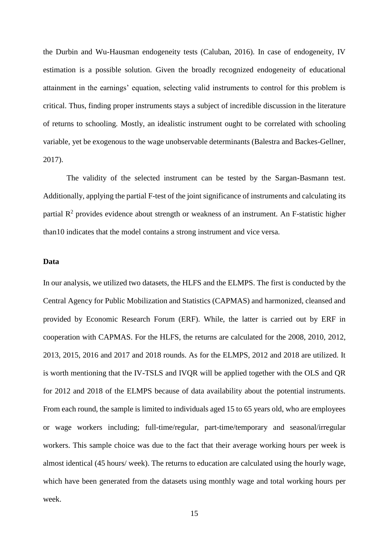the Durbin and Wu-Hausman endogeneity tests (Caluban, 2016). In case of endogeneity, IV estimation is a possible solution. Given the broadly recognized endogeneity of educational attainment in the earnings' equation, selecting valid instruments to control for this problem is critical. Thus, finding proper instruments stays a subject of incredible discussion in the literature of returns to schooling. Mostly, an idealistic instrument ought to be correlated with schooling variable, yet be exogenous to the wage unobservable determinants (Balestra and Backes-Gellner, 2017).

The validity of the selected instrument can be tested by the Sargan-Basmann test. Additionally, applying the partial F-test of the joint significance of instruments and calculating its partial  $\mathbb{R}^2$  provides evidence about strength or weakness of an instrument. An F-statistic higher than10 indicates that the model contains a strong instrument and vice versa.

#### **Data**

In our analysis, we utilized two datasets, the HLFS and the ELMPS. The first is conducted by the Central Agency for Public Mobilization and Statistics (CAPMAS) and harmonized, cleansed and provided by Economic Research Forum (ERF). While, the latter is carried out by ERF in cooperation with CAPMAS. For the HLFS, the returns are calculated for the 2008, 2010, 2012, 2013, 2015, 2016 and 2017 and 2018 rounds. As for the ELMPS, 2012 and 2018 are utilized. It is worth mentioning that the IV-TSLS and IVQR will be applied together with the OLS and QR for 2012 and 2018 of the ELMPS because of data availability about the potential instruments. From each round, the sample is limited to individuals aged 15 to 65 years old, who are employees or wage workers including; full-time/regular, part-time/temporary and seasonal/irregular workers. This sample choice was due to the fact that their average working hours per week is almost identical (45 hours/ week). The returns to education are calculated using the hourly wage, which have been generated from the datasets using monthly wage and total working hours per week.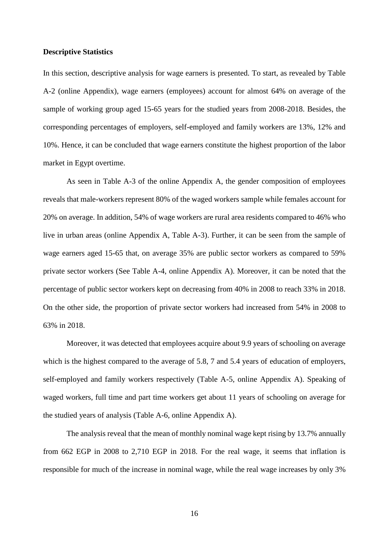#### **Descriptive Statistics**

In this section, descriptive analysis for wage earners is presented. To start, as revealed by Table A-2 (online Appendix), wage earners (employees) account for almost 64% on average of the sample of working group aged 15-65 years for the studied years from 2008-2018. Besides, the corresponding percentages of employers, self-employed and family workers are 13%, 12% and 10%. Hence, it can be concluded that wage earners constitute the highest proportion of the labor market in Egypt overtime.

As seen in Table A-3 of the online Appendix A, the gender composition of employees reveals that male-workers represent 80% of the waged workers sample while females account for 20% on average. In addition, 54% of wage workers are rural area residents compared to 46% who live in urban areas (online Appendix A, Table A-3). Further, it can be seen from the sample of wage earners aged 15-65 that, on average 35% are public sector workers as compared to 59% private sector workers (See Table A-4, online Appendix A). Moreover, it can be noted that the percentage of public sector workers kept on decreasing from 40% in 2008 to reach 33% in 2018. On the other side, the proportion of private sector workers had increased from 54% in 2008 to 63% in 2018.

Moreover, it was detected that employees acquire about 9.9 years of schooling on average which is the highest compared to the average of 5.8, 7 and 5.4 years of education of employers, self-employed and family workers respectively (Table A-5, online Appendix A). Speaking of waged workers, full time and part time workers get about 11 years of schooling on average for the studied years of analysis (Table A-6, online Appendix A).

The analysis reveal that the mean of monthly nominal wage kept rising by 13.7% annually from 662 EGP in 2008 to 2,710 EGP in 2018. For the real wage, it seems that inflation is responsible for much of the increase in nominal wage, while the real wage increases by only 3%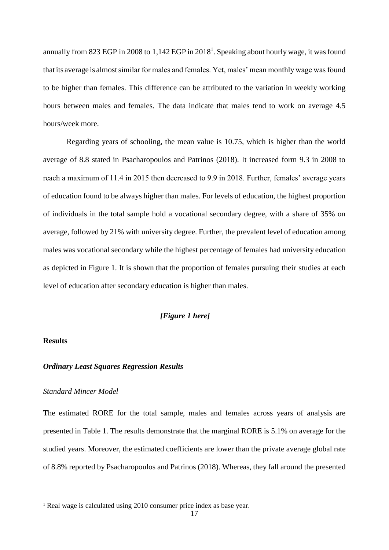annually from 823 EGP in 2008 to 1,142 EGP in 2018<sup>1</sup>. Speaking about hourly wage, it was found that its average is almostsimilar for males and females. Yet, males' mean monthly wage was found to be higher than females. This difference can be attributed to the variation in weekly working hours between males and females. The data indicate that males tend to work on average 4.5 hours/week more.

Regarding years of schooling, the mean value is 10.75, which is higher than the world average of 8.8 stated in Psacharopoulos and Patrinos (2018). It increased form 9.3 in 2008 to reach a maximum of 11.4 in 2015 then decreased to 9.9 in 2018. Further, females' average years of education found to be always higher than males. For levels of education, the highest proportion of individuals in the total sample hold a vocational secondary degree, with a share of 35% on average, followed by 21% with university degree. Further, the prevalent level of education among males was vocational secondary while the highest percentage of females had university education as depicted in Figure 1. It is shown that the proportion of females pursuing their studies at each level of education after secondary education is higher than males.

# *[Figure 1 here]*

## **Results**

l

## *Ordinary Least Squares Regression Results*

#### *Standard Mincer Model*

The estimated RORE for the total sample, males and females across years of analysis are presented in Table 1. The results demonstrate that the marginal RORE is 5.1% on average for the studied years. Moreover, the estimated coefficients are lower than the private average global rate of 8.8% reported by Psacharopoulos and Patrinos (2018). Whereas, they fall around the presented

<sup>1</sup> Real wage is calculated using 2010 consumer price index as base year.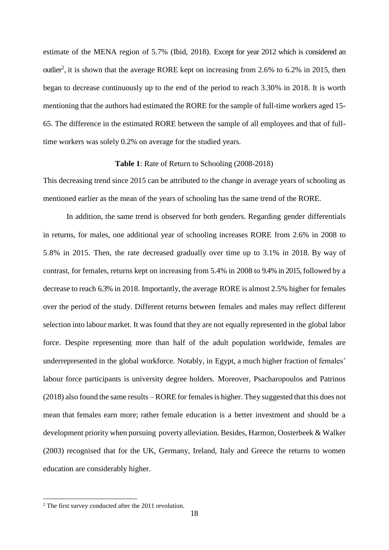estimate of the MENA region of 5.7% (Ibid, 2018). Except for year 2012 which is considered an outlier<sup>2</sup>, it is shown that the average RORE kept on increasing from 2.6% to 6.2% in 2015, then began to decrease continuously up to the end of the period to reach 3.30% in 2018. It is worth mentioning that the authors had estimated the RORE for the sample of full-time workers aged 15- 65. The difference in the estimated RORE between the sample of all employees and that of fulltime workers was solely 0.2% on average for the studied years.

## **Table 1**: Rate of Return to Schooling (2008-2018)

This decreasing trend since 2015 can be attributed to the change in average years of schooling as mentioned earlier as the mean of the years of schooling has the same trend of the RORE.

In addition, the same trend is observed for both genders. Regarding gender differentials in returns, for males, one additional year of schooling increases RORE from 2.6% in 2008 to 5.8% in 2015. Then, the rate decreased gradually over time up to 3.1% in 2018. By way of contrast, for females, returns kept on increasing from 5.4% in 2008 to 9.4% in 2015, followed by a decrease to reach 6.3% in 2018. Importantly, the average RORE is almost 2.5% higher for females over the period of the study. Different returns between females and males may reflect different selection into labour market. It was found that they are not equally represented in the global labor force. Despite representing more than half of the adult population worldwide, females are underrepresented in the global workforce. Notably, in Egypt, a much higher fraction of females' labour force participants is university degree holders. Moreover, Psacharopoulos and Patrinos (2018) also found the same results – RORE for femalesis higher. They suggested that this does not mean that females earn more; rather female education is a better investment and should be a development priority when pursuing poverty alleviation. Besides, Harmon, Oosterbeek & Walker (2003) recognised that for the UK, Germany, Ireland, Italy and Greece the returns to women education are considerably higher.

l

<sup>2</sup> The first survey conducted after the 2011 revolution.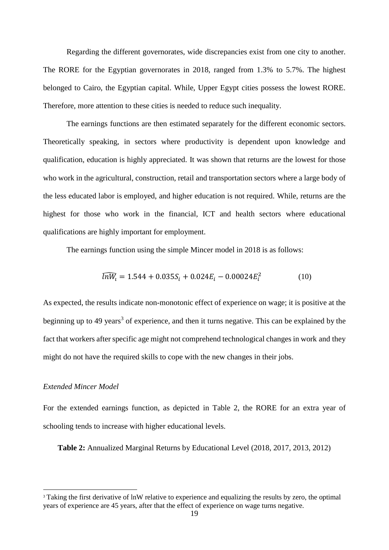Regarding the different governorates, wide discrepancies exist from one city to another. The RORE for the Egyptian governorates in 2018, ranged from 1.3% to 5.7%. The highest belonged to Cairo, the Egyptian capital. While, Upper Egypt cities possess the lowest RORE. Therefore, more attention to these cities is needed to reduce such inequality.

The earnings functions are then estimated separately for the different economic sectors. Theoretically speaking, in sectors where productivity is dependent upon knowledge and qualification, education is highly appreciated. It was shown that returns are the lowest for those who work in the agricultural, construction, retail and transportation sectors where a large body of the less educated labor is employed, and higher education is not required. While, returns are the highest for those who work in the financial, ICT and health sectors where educational qualifications are highly important for employment.

The earnings function using the simple Mincer model in 2018 is as follows:

$$
\widehat{lnW_i} = 1.544 + 0.035S_i + 0.024E_i - 0.00024E_i^2 \tag{10}
$$

As expected, the results indicate non-monotonic effect of experience on wage; it is positive at the beginning up to 49 years<sup>3</sup> of experience, and then it turns negative. This can be explained by the fact that workers after specific age might not comprehend technological changes in work and they might do not have the required skills to cope with the new changes in their jobs.

#### *Extended Mincer Model*

l

For the extended earnings function, as depicted in Table 2, the RORE for an extra year of schooling tends to increase with higher educational levels.

**Table 2:** Annualized Marginal Returns by Educational Level (2018, 2017, 2013, 2012)

<sup>&</sup>lt;sup>3</sup> Taking the first derivative of lnW relative to experience and equalizing the results by zero, the optimal years of experience are 45 years, after that the effect of experience on wage turns negative.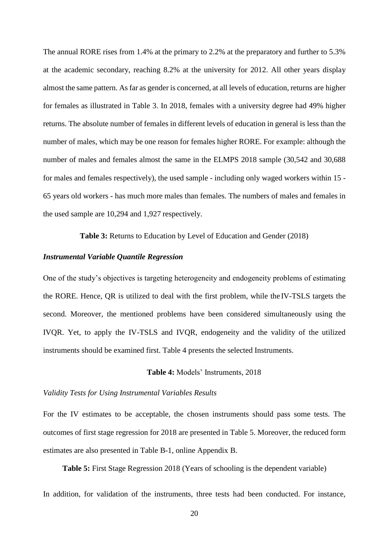The annual RORE rises from 1.4% at the primary to 2.2% at the preparatory and further to 5.3% at the academic secondary, reaching 8.2% at the university for 2012. All other years display almost the same pattern. Asfar as gender is concerned, at all levels of education, returns are higher for females as illustrated in Table 3. In 2018, females with a university degree had 49% higher returns. The absolute number of females in different levels of education in general is less than the number of males, which may be one reason for females higher RORE. For example: although the number of males and females almost the same in the ELMPS 2018 sample (30,542 and 30,688 for males and females respectively), the used sample - including only waged workers within 15 - 65 years old workers - has much more males than females. The numbers of males and females in the used sample are 10,294 and 1,927 respectively.

**Table 3:** Returns to Education by Level of Education and Gender (2018)

## *Instrumental Variable Quantile Regression*

One of the study's objectives is targeting heterogeneity and endogeneity problems of estimating the RORE. Hence, QR is utilized to deal with the first problem, while the IV-TSLS targets the second. Moreover, the mentioned problems have been considered simultaneously using the IVQR. Yet, to apply the IV-TSLS and IVQR, endogeneity and the validity of the utilized instruments should be examined first. Table 4 presents the selected Instruments.

## **Table 4:** Models' Instruments, 2018

#### *Validity Tests for Using Instrumental Variables Results*

For the IV estimates to be acceptable, the chosen instruments should pass some tests. The outcomes of first stage regression for 2018 are presented in Table 5. Moreover, the reduced form estimates are also presented in Table B-1, online Appendix B.

**Table 5:** First Stage Regression 2018 (Years of schooling is the dependent variable)

In addition, for validation of the instruments, three tests had been conducted. For instance,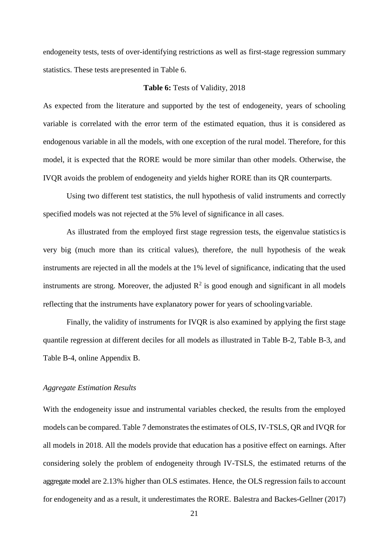endogeneity tests, tests of over-identifying restrictions as well as first-stage regression summary statistics. These tests arepresented in Table 6.

#### **Table 6:** Tests of Validity, 2018

As expected from the literature and supported by the test of endogeneity, years of schooling variable is correlated with the error term of the estimated equation, thus it is considered as endogenous variable in all the models, with one exception of the rural model. Therefore, for this model, it is expected that the RORE would be more similar than other models. Otherwise, the IVQR avoids the problem of endogeneity and yields higher RORE than its QR counterparts.

Using two different test statistics, the null hypothesis of valid instruments and correctly specified models was not rejected at the 5% level of significance in all cases.

As illustrated from the employed first stage regression tests, the eigenvalue statisticsis very big (much more than its critical values), therefore, the null hypothesis of the weak instruments are rejected in all the models at the 1% level of significance, indicating that the used instruments are strong. Moreover, the adjusted  $\mathbb{R}^2$  is good enough and significant in all models reflecting that the instruments have explanatory power for years of schoolingvariable.

Finally, the validity of instruments for IVQR is also examined by applying the first stage quantile regression at different deciles for all models as illustrated in Table B-2, Table B-3, and Table B-4, online Appendix B.

#### *Aggregate Estimation Results*

With the endogeneity issue and instrumental variables checked, the results from the employed models can be compared. Table 7 demonstrates the estimates of OLS, IV-TSLS, QR and IVQR for all models in 2018. All the models provide that education has a positive effect on earnings. After considering solely the problem of endogeneity through IV-TSLS, the estimated returns of the aggregate model are 2.13% higher than OLS estimates. Hence, the OLS regression fails to account for endogeneity and as a result, it underestimates the RORE. Balestra and Backes-Gellner (2017)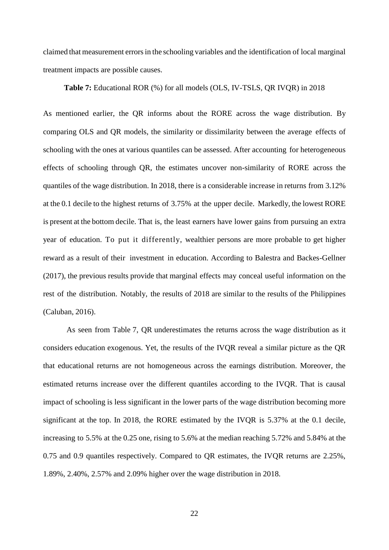claimed that measurement errorsin the schooling variables and the identification of local marginal treatment impacts are possible causes.

#### **Table 7:** Educational ROR (%) for all models (OLS, IV-TSLS, QR IVQR) in 2018

As mentioned earlier, the QR informs about the RORE across the wage distribution. By comparing OLS and QR models, the similarity or dissimilarity between the average effects of schooling with the ones at various quantiles can be assessed. After accounting for heterogeneous effects of schooling through QR, the estimates uncover non-similarity of RORE across the quantiles of the wage distribution. In 2018, there is a considerable increase in returns from 3.12% at the 0.1 decile to the highest returns of 3.75% at the upper decile. Markedly, the lowest RORE is present at the bottom decile. That is, the least earners have lower gains from pursuing an extra year of education. To put it differently, wealthier persons are more probable to get higher reward as a result of their investment in education. According to Balestra and Backes-Gellner (2017), the previous results provide that marginal effects may conceal useful information on the rest of the distribution. Notably, the results of 2018 are similar to the results of the Philippines (Caluban, 2016).

As seen from Table 7, QR underestimates the returns across the wage distribution as it considers education exogenous. Yet, the results of the IVQR reveal a similar picture as the QR that educational returns are not homogeneous across the earnings distribution. Moreover, the estimated returns increase over the different quantiles according to the IVQR. That is causal impact of schooling is less significant in the lower parts of the wage distribution becoming more significant at the top. In 2018, the RORE estimated by the IVQR is 5.37% at the 0.1 decile, increasing to 5.5% at the 0.25 one, rising to 5.6% at the median reaching 5.72% and 5.84% at the 0.75 and 0.9 quantiles respectively. Compared to QR estimates, the IVQR returns are 2.25%, 1.89%, 2.40%, 2.57% and 2.09% higher over the wage distribution in 2018.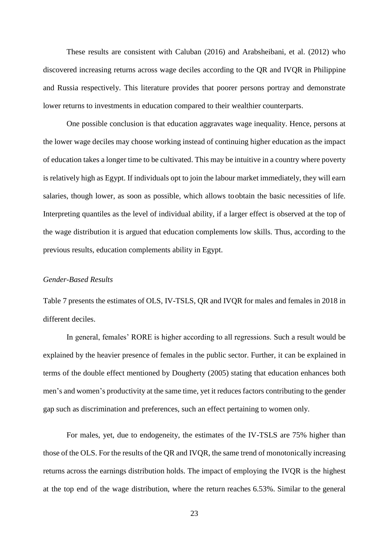These results are consistent with Caluban (2016) and Arabsheibani, et al. (2012) who discovered increasing returns across wage deciles according to the QR and IVQR in Philippine and Russia respectively. This literature provides that poorer persons portray and demonstrate lower returns to investments in education compared to their wealthier counterparts.

One possible conclusion is that education aggravates wage inequality. Hence, persons at the lower wage deciles may choose working instead of continuing higher education as the impact of education takes a longer time to be cultivated. This may be intuitive in a country where poverty is relatively high as Egypt. If individuals opt to join the labour market immediately, they will earn salaries, though lower, as soon as possible, which allows toobtain the basic necessities of life. Interpreting quantiles as the level of individual ability, if a larger effect is observed at the top of the wage distribution it is argued that education complements low skills. Thus, according to the previous results, education complements ability in Egypt.

# *Gender-Based Results*

Table 7 presents the estimates of OLS, IV-TSLS, QR and IVQR for males and females in 2018 in different deciles.

In general, females' RORE is higher according to all regressions. Such a result would be explained by the heavier presence of females in the public sector. Further, it can be explained in terms of the double effect mentioned by Dougherty (2005) stating that education enhances both men's and women's productivity at the same time, yet it reduces factors contributing to the gender gap such as discrimination and preferences, such an effect pertaining to women only.

For males, yet, due to endogeneity, the estimates of the IV-TSLS are 75% higher than those of the OLS. For the results of the QR and IVQR, the same trend of monotonically increasing returns across the earnings distribution holds. The impact of employing the IVQR is the highest at the top end of the wage distribution, where the return reaches 6.53%. Similar to the general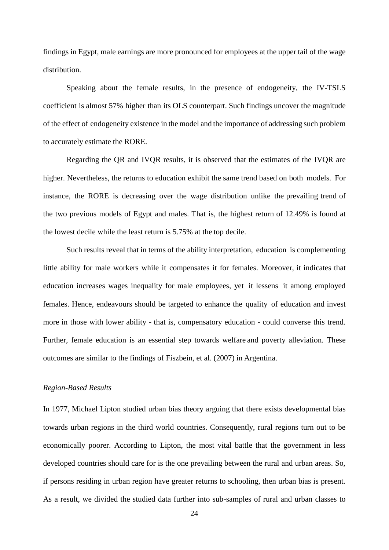findings in Egypt, male earnings are more pronounced for employees at the upper tail of the wage distribution.

Speaking about the female results, in the presence of endogeneity, the IV-TSLS coefficient is almost 57% higher than its OLS counterpart. Such findings uncover the magnitude of the effect of endogeneity existence in the model and the importance of addressing such problem to accurately estimate the RORE.

Regarding the QR and IVQR results, it is observed that the estimates of the IVQR are higher. Nevertheless, the returns to education exhibit the same trend based on both models. For instance, the RORE is decreasing over the wage distribution unlike the prevailing trend of the two previous models of Egypt and males. That is, the highest return of 12.49% is found at the lowest decile while the least return is 5.75% at the top decile.

Such results reveal that in terms of the ability interpretation, education is complementing little ability for male workers while it compensates it for females. Moreover, it indicates that education increases wages inequality for male employees, yet it lessens it among employed females. Hence, endeavours should be targeted to enhance the quality of education and invest more in those with lower ability - that is, compensatory education - could converse this trend. Further, female education is an essential step towards welfare and poverty alleviation. These outcomes are similar to the findings of Fiszbein, et al. (2007) in Argentina.

## *Region-Based Results*

In 1977, Michael Lipton studied urban bias theory arguing that there exists developmental bias towards urban regions in the third world countries. Consequently, rural regions turn out to be economically poorer. According to Lipton, the most vital battle that the government in less developed countries should care for is the one prevailing between the rural and urban areas. So, if persons residing in urban region have greater returns to schooling, then urban bias is present. As a result, we divided the studied data further into sub-samples of rural and urban classes to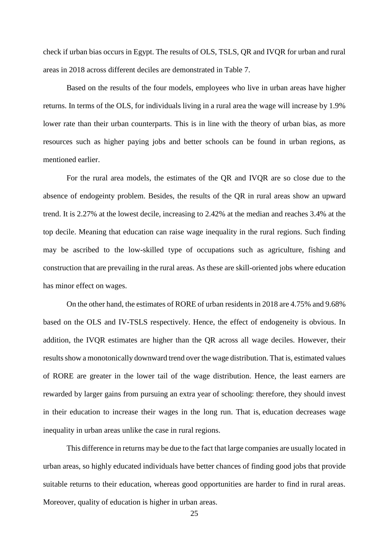check if urban bias occurs in Egypt. The results of OLS, TSLS, QR and IVQR for urban and rural areas in 2018 across different deciles are demonstrated in Table 7.

Based on the results of the four models, employees who live in urban areas have higher returns. In terms of the OLS, for individuals living in a rural area the wage will increase by 1.9% lower rate than their urban counterparts. This is in line with the theory of urban bias, as more resources such as higher paying jobs and better schools can be found in urban regions, as mentioned earlier.

For the rural area models, the estimates of the QR and IVQR are so close due to the absence of endogeinty problem. Besides, the results of the QR in rural areas show an upward trend. It is 2.27% at the lowest decile, increasing to 2.42% at the median and reaches 3.4% at the top decile. Meaning that education can raise wage inequality in the rural regions. Such finding may be ascribed to the low-skilled type of occupations such as agriculture, fishing and construction that are prevailing in the rural areas. As these are skill-oriented jobs where education has minor effect on wages.

On the other hand, the estimates of RORE of urban residents in 2018 are 4.75% and 9.68% based on the OLS and IV-TSLS respectively. Hence, the effect of endogeneity is obvious. In addition, the IVQR estimates are higher than the QR across all wage deciles. However, their results show a monotonically downward trend over the wage distribution. That is, estimated values of RORE are greater in the lower tail of the wage distribution. Hence, the least earners are rewarded by larger gains from pursuing an extra year of schooling: therefore, they should invest in their education to increase their wages in the long run. That is, education decreases wage inequality in urban areas unlike the case in rural regions.

This difference in returns may be due to the fact that large companies are usually located in urban areas, so highly educated individuals have better chances of finding good jobs that provide suitable returns to their education, whereas good opportunities are harder to find in rural areas. Moreover, quality of education is higher in urban areas.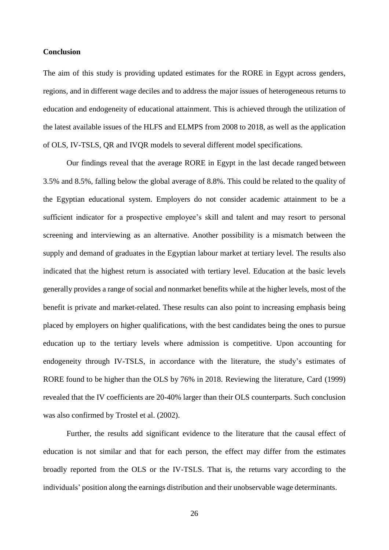#### **Conclusion**

The aim of this study is providing updated estimates for the RORE in Egypt across genders, regions, and in different wage deciles and to address the major issues of heterogeneous returns to education and endogeneity of educational attainment. This is achieved through the utilization of the latest available issues of the HLFS and ELMPS from 2008 to 2018, as well as the application of OLS, IV-TSLS, QR and IVQR models to several different model specifications.

Our findings reveal that the average RORE in Egypt in the last decade ranged between 3.5% and 8.5%, falling below the global average of 8.8%. This could be related to the quality of the Egyptian educational system. Employers do not consider academic attainment to be a sufficient indicator for a prospective employee's skill and talent and may resort to personal screening and interviewing as an alternative. Another possibility is a mismatch between the supply and demand of graduates in the Egyptian labour market at tertiary level. The results also indicated that the highest return is associated with tertiary level. Education at the basic levels generally provides a range of social and nonmarket benefits while at the higher levels, most of the benefit is private and market-related. These results can also point to increasing emphasis being placed by employers on higher qualifications, with the best candidates being the ones to pursue education up to the tertiary levels where admission is competitive. Upon accounting for endogeneity through IV-TSLS, in accordance with the literature, the study's estimates of RORE found to be higher than the OLS by 76% in 2018. Reviewing the literature, Card (1999) revealed that the IV coefficients are 20-40% larger than their OLS counterparts. Such conclusion was also confirmed by Trostel et al. (2002).

Further, the results add significant evidence to the literature that the causal effect of education is not similar and that for each person, the effect may differ from the estimates broadly reported from the OLS or the IV-TSLS. That is, the returns vary according to the individuals' position along the earnings distribution and their unobservable wage determinants.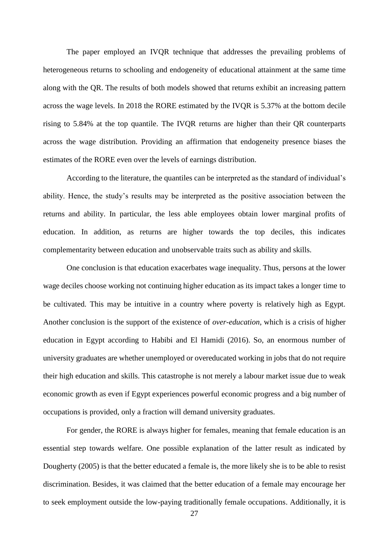The paper employed an IVQR technique that addresses the prevailing problems of heterogeneous returns to schooling and endogeneity of educational attainment at the same time along with the QR. The results of both models showed that returns exhibit an increasing pattern across the wage levels. In 2018 the RORE estimated by the IVQR is 5.37% at the bottom decile rising to 5.84% at the top quantile. The IVQR returns are higher than their QR counterparts across the wage distribution. Providing an affirmation that endogeneity presence biases the estimates of the RORE even over the levels of earnings distribution.

According to the literature, the quantiles can be interpreted as the standard of individual's ability. Hence, the study's results may be interpreted as the positive association between the returns and ability. In particular, the less able employees obtain lower marginal profits of education. In addition, as returns are higher towards the top deciles, this indicates complementarity between education and unobservable traits such as ability and skills.

One conclusion is that education exacerbates wage inequality. Thus, persons at the lower wage deciles choose working not continuing higher education as its impact takes a longer time to be cultivated. This may be intuitive in a country where poverty is relatively high as Egypt. Another conclusion is the support of the existence of *over-education*, which is a crisis of higher education in Egypt according to Habibi and El Hamidi (2016). So, an enormous number of university graduates are whether unemployed or overeducated working in jobs that do not require their high education and skills. This catastrophe is not merely a labour market issue due to weak economic growth as even if Egypt experiences powerful economic progress and a big number of occupations is provided, only a fraction will demand university graduates.

For gender, the RORE is always higher for females, meaning that female education is an essential step towards welfare. One possible explanation of the latter result as indicated by Dougherty (2005) is that the better educated a female is, the more likely she is to be able to resist discrimination. Besides, it was claimed that the better education of a female may encourage her to seek employment outside the low-paying traditionally female occupations. Additionally, it is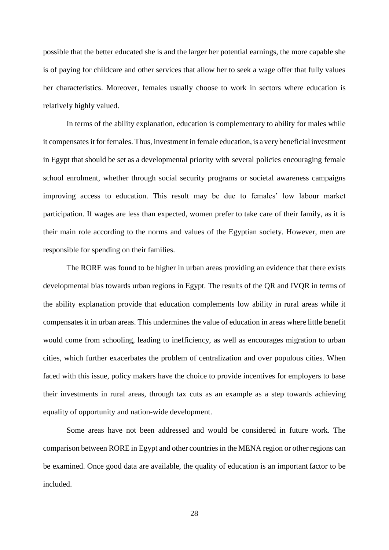possible that the better educated she is and the larger her potential earnings, the more capable she is of paying for childcare and other services that allow her to seek a wage offer that fully values her characteristics. Moreover, females usually choose to work in sectors where education is relatively highly valued.

In terms of the ability explanation, education is complementary to ability for males while it compensates it for females. Thus, investment in female education, is a very beneficial investment in Egypt that should be set as a developmental priority with several policies encouraging female school enrolment, whether through social security programs or societal awareness campaigns improving access to education. This result may be due to females' low labour market participation. If wages are less than expected, women prefer to take care of their family, as it is their main role according to the norms and values of the Egyptian society. However, men are responsible for spending on their families.

The RORE was found to be higher in urban areas providing an evidence that there exists developmental bias towards urban regions in Egypt. The results of the QR and IVQR in terms of the ability explanation provide that education complements low ability in rural areas while it compensates it in urban areas. This undermines the value of education in areas where little benefit would come from schooling, leading to inefficiency, as well as encourages migration to urban cities, which further exacerbates the problem of centralization and over populous cities. When faced with this issue, policy makers have the choice to provide incentives for employers to base their investments in rural areas, through tax cuts as an example as a step towards achieving equality of opportunity and nation-wide development.

Some areas have not been addressed and would be considered in future work. The comparison between RORE in Egypt and other countries in the MENA region or other regions can be examined. Once good data are available, the quality of education is an important factor to be included.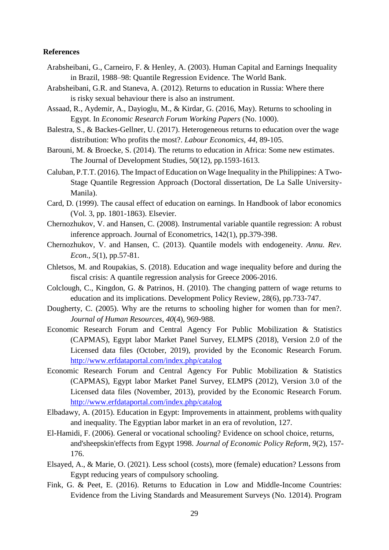## **References**

- Arabsheibani, G., Carneiro, F. & Henley, A. (2003). Human Capital and Earnings Inequality in Brazil, 1988–98: Quantile Regression Evidence. The World Bank.
- Arabsheibani, G.R. and Staneva, A. (2012). Returns to education in Russia: Where there is risky sexual behaviour there is also an instrument.
- Assaad, R., Aydemir, A., Dayioglu, M., & Kirdar, G. (2016, May). Returns to schooling in Egypt. In *Economic Research Forum Working Papers* (No. 1000).
- Balestra, S., & Backes-Gellner, U. (2017). Heterogeneous returns to education over the wage distribution: Who profits the most?. *Labour Economics*, *44*, 89-105.
- Barouni, M. & Broecke, S. (2014). The returns to education in Africa: Some new estimates. The Journal of Development Studies, 50(12), pp.1593-1613.
- Caluban, P.T.T. (2016). The Impact of Education on Wage Inequality in the Philippines: A Two-Stage Quantile Regression Approach (Doctoral dissertation, De La Salle University-Manila).
- Card, D. (1999). The causal effect of education on earnings. In Handbook of labor economics (Vol. 3, pp. 1801-1863). Elsevier.
- Chernozhukov, V. and Hansen, C. (2008). Instrumental variable quantile regression: A robust inference approach. Journal of Econometrics, 142(1), pp.379-398.
- Chernozhukov, V. and Hansen, C. (2013). Quantile models with endogeneity. *Annu. Rev. Econ.*, *5*(1), pp.57-81.
- Chletsos, M. and Roupakias, S. (2018). Education and wage inequality before and during the fiscal crisis: A quantile regression analysis for Greece 2006-2016.
- Colclough, C., Kingdon, G. & Patrinos, H. (2010). The changing pattern of wage returns to education and its implications. Development Policy Review, 28(6), pp.733-747.
- Dougherty, C. (2005). Why are the returns to schooling higher for women than for men?. *Journal of Human Resources*, *40*(4), 969-988.
- Economic Research Forum and Central Agency For Public Mobilization & Statistics (CAPMAS), Egypt labor Market Panel Survey, ELMPS (2018), Version 2.0 of the Licensed data files (October, 2019), provided by the Economic Research Forum. <http://www.erfdataportal.com/index.php/catalog>
- Economic Research Forum and Central Agency For Public Mobilization & Statistics (CAPMAS), Egypt labor Market Panel Survey, ELMPS (2012), Version 3.0 of the Licensed data files (November, 2013), provided by the Economic Research Forum. <http://www.erfdataportal.com/index.php/catalog>
- Elbadawy, A. (2015). Education in Egypt: Improvements in attainment, problems with quality and inequality. The Egyptian labor market in an era of revolution, 127.
- El-Hamidi, F. (2006). General or vocational schooling? Evidence on school choice, returns, and'sheepskin'effects from Egypt 1998. *Journal of Economic Policy Reform*, *9*(2), 157- 176.
- Elsayed, A., & Marie, O. (2021). Less school (costs), more (female) education? Lessons from Egypt reducing years of compulsory schooling.
- Fink, G. & Peet, E. (2016). Returns to Education in Low and Middle-Income Countries: Evidence from the Living Standards and Measurement Surveys (No. 12014). Program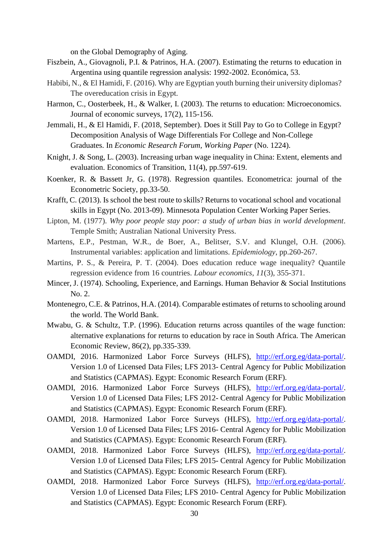on the Global Demography of Aging.

- Fiszbein, A., Giovagnoli, P.I. & Patrinos, H.A. (2007). Estimating the returns to education in Argentina using quantile regression analysis: 1992-2002. Económica, 53.
- Habibi, N., & El Hamidi, F. (2016). Why are Egyptian youth burning their university diplomas? The overeducation crisis in Egypt.
- Harmon, C., Oosterbeek, H., & Walker, I. (2003). The returns to education: Microeconomics. Journal of economic surveys, 17(2), 115-156.
- Jemmali, H., & El Hamidi, F. (2018, September). Does it Still Pay to Go to College in Egypt? Decomposition Analysis of Wage Differentials For College and Non-College Graduates. In *Economic Research Forum, Working Paper* (No. 1224).
- Knight, J. & Song, L. (2003). Increasing urban wage inequality in China: Extent, elements and evaluation. Economics of Transition, 11(4), pp.597-619.
- Koenker, R. & Bassett Jr, G. (1978). Regression quantiles. Econometrica: journal of the Econometric Society, pp.33-50.
- Krafft, C. (2013). Is school the best route to skills? Returns to vocational school and vocational skills in Egypt (No. 2013-09). Minnesota Population Center Working Paper Series.
- Lipton, M. (1977). *Why poor people stay poor: a study of urban bias in world development*. Temple Smith; Australian National University Press.
- Martens, E.P., Pestman, W.R., de Boer, A., Belitser, S.V. and Klungel, O.H. (2006). Instrumental variables: application and limitations. *Epidemiology*, pp.260-267.
- Martins, P. S., & Pereira, P. T. (2004). Does education reduce wage inequality? Quantile regression evidence from 16 countries. *Labour economics*, *11*(3), 355-371.
- Mincer, J. (1974). Schooling, Experience, and Earnings. Human Behavior & Social Institutions No. 2.
- Montenegro, C.E. & Patrinos, H.A. (2014). Comparable estimates of returns to schooling around the world. The World Bank.
- Mwabu, G. & Schultz, T.P. (1996). Education returns across quantiles of the wage function: alternative explanations for returns to education by race in South Africa. The American Economic Review, 86(2), pp.335-339.
- OAMDI, 2016. Harmonized Labor Force Surveys (HLFS), [http://erf.org.eg/data-portal/.](http://erf.org.eg/data-portal/) Version 1.0 of Licensed Data Files; LFS 2013- Central Agency for Public Mobilization and Statistics (CAPMAS). Egypt: Economic Research Forum (ERF).
- OAMDI, 2016. Harmonized Labor Force Surveys (HLFS), [http://erf.org.eg/data-portal/.](http://erf.org.eg/data-portal/) Version 1.0 of Licensed Data Files; LFS 2012- Central Agency for Public Mobilization and Statistics (CAPMAS). Egypt: Economic Research Forum (ERF).
- OAMDI, 2018. Harmonized Labor Force Surveys (HLFS), [http://erf.org.eg/data-portal/.](http://erf.org.eg/data-portal/) Version 1.0 of Licensed Data Files; LFS 2016- Central Agency for Public Mobilization and Statistics (CAPMAS). Egypt: Economic Research Forum (ERF).
- OAMDI, 2018. Harmonized Labor Force Surveys (HLFS), [http://erf.org.eg/data-portal/.](http://erf.org.eg/data-portal/) Version 1.0 of Licensed Data Files; LFS 2015- Central Agency for Public Mobilization and Statistics (CAPMAS). Egypt: Economic Research Forum (ERF).
- OAMDI, 2018. Harmonized Labor Force Surveys (HLFS), [http://erf.org.eg/data-portal/.](http://erf.org.eg/data-portal/) Version 1.0 of Licensed Data Files; LFS 2010- Central Agency for Public Mobilization and Statistics (CAPMAS). Egypt: Economic Research Forum (ERF).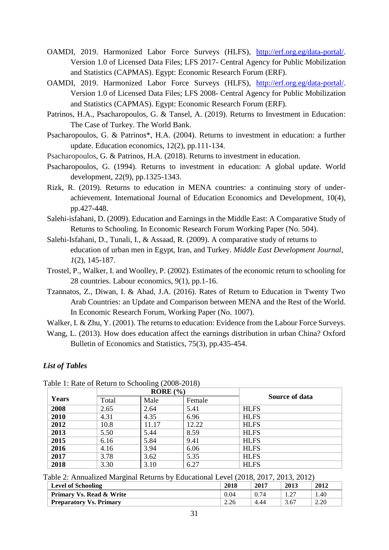- OAMDI, 2019. Harmonized Labor Force Surveys (HLFS), [http://erf.org.eg/data-portal/.](http://erf.org.eg/data-portal/) Version 1.0 of Licensed Data Files; LFS 2017- Central Agency for Public Mobilization and Statistics (CAPMAS). Egypt: Economic Research Forum (ERF).
- OAMDI, 2019. Harmonized Labor Force Surveys (HLFS), [http://erf.org.eg/data-portal/.](http://erf.org.eg/data-portal/) Version 1.0 of Licensed Data Files; LFS 2008- Central Agency for Public Mobilization and Statistics (CAPMAS). Egypt: Economic Research Forum (ERF).
- Patrinos, H.A., Psacharopoulos, G. & Tansel, A. (2019). Returns to Investment in Education: The Case of Turkey. The World Bank.
- Psacharopoulos, G. & Patrinos\*, H.A. (2004). Returns to investment in education: a further update. Education economics, 12(2), pp.111-134.
- Psacharopoulos, G. & Patrinos, H.A. (2018). Returns to investment in education.
- Psacharopoulos, G. (1994). Returns to investment in education: A global update. World development, 22(9), pp.1325-1343.
- Rizk, R. (2019). Returns to education in MENA countries: a continuing story of underachievement. International Journal of Education Economics and Development, 10(4), pp.427-448.
- Salehi-isfahani, D. (2009). Education and Earnings in the Middle East: A Comparative Study of Returns to Schooling. In Economic Research Forum Working Paper (No. 504).
- Salehi-Isfahani, D., Tunali, I., & Assaad, R. (2009). A comparative study of returns to education of urban men in Egypt, Iran, and Turkey. *Middle East Development Journal*, *1*(2), 145-187.
- Trostel, P., Walker, I. and Woolley, P. (2002). Estimates of the economic return to schooling for 28 countries. Labour economics, 9(1), pp.1-16.
- Tzannatos, Z., Diwan, I. & Ahad, J.A. (2016). Rates of Return to Education in Twenty Two Arab Countries: an Update and Comparison between MENA and the Rest of the World. In Economic Research Forum, Working Paper (No. 1007).

Walker, I. & Zhu, Y. (2001). The returns to education: Evidence from the Labour Force Surveys.

Wang, L. (2013). How does education affect the earnings distribution in urban China? Oxford Bulletin of Economics and Statistics, 75(3), pp.435-454.

# *List of Tables*

|       |       | $\cdots$<br>RORE(%) |        |                |
|-------|-------|---------------------|--------|----------------|
| Years | Total | Male                | Female | Source of data |
| 2008  | 2.65  | 2.64                | 5.41   | <b>HLFS</b>    |
| 2010  | 4.31  | 4.35                | 6.96   | <b>HLFS</b>    |
| 2012  | 10.8  | 11.17               | 12.22  | <b>HLFS</b>    |
| 2013  | 5.50  | 5.44                | 8.59   | <b>HLFS</b>    |
| 2015  | 6.16  | 5.84                | 9.41   | <b>HLFS</b>    |
| 2016  | 4.16  | 3.94                | 6.06   | <b>HLFS</b>    |
| 2017  | 3.78  | 3.62                | 5.35   | <b>HLFS</b>    |
| 2018  | 3.30  | 3.10                | 6.27   | <b>HLFS</b>    |

Table 1: Rate of Return to Schooling (2008-2018)

Table 2: Annualized Marginal Returns by Educational Level (2018, 2017, 2013, 2012)

| <b>Level of Schooling</b>           | 2018 | 2017 | 2013 | 2012 |
|-------------------------------------|------|------|------|------|
| <b>Primary Vs. Read &amp; Write</b> | 0.04 | 0.74 |      | .40  |
| <b>Preparatory Vs. Primary</b>      |      | 4.44 | 3.67 | 2.20 |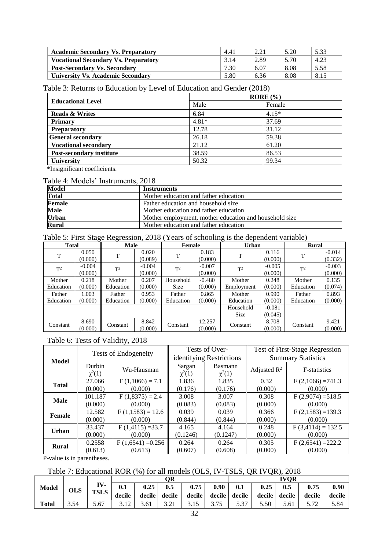| <b>Academic Secondary Vs. Preparatory</b>   | 4.41 | 2.21 | 5.20 | 5.33 |
|---------------------------------------------|------|------|------|------|
| <b>Vocational Secondary Vs. Preparatory</b> | 3.14 | 2.89 | 5.70 | 4.23 |
| <b>Post-Secondary Vs. Secondary</b>         | 7.30 | 6.07 | 8.08 | 5.58 |
| <b>University Vs. Academic Secondary</b>    | 5.80 | 6.36 | 8.08 | 8.15 |

# Table 3: Returns to Education by Level of Education and Gender (2018)

|                                 |         | $RORE(\%)$ |
|---------------------------------|---------|------------|
| <b>Educational Level</b>        | Male    | Female     |
| <b>Reads &amp; Writes</b>       | 6.84    | $4.15*$    |
| <b>Primary</b>                  | $4.81*$ | 37.69      |
| <b>Preparatory</b>              | 12.78   | 31.12      |
| <b>General secondary</b>        | 26.18   | 59.38      |
| <b>Vocational secondary</b>     | 21.12   | 61.20      |
| <b>Post-secondary institute</b> | 38.59   | 86.53      |
| <b>University</b>               | 50.32   | 99.34      |

\*Insignificant coefficients.

# Table 4: Models' Instruments, 2018

| <b>Model</b> | <b>Instruments</b>                                     |
|--------------|--------------------------------------------------------|
| <b>Total</b> | Mother education and father education                  |
| Female       | Father education and household size                    |
| <b>Male</b>  | Mother education and father education                  |
| <b>Urban</b> | Mother employment, mother education and household size |
| <b>Rural</b> | Mother education and father education                  |

## Table 5: First Stage Regression, 2018 (Years of schooling is the dependent variable)

| <b>Total</b> |                     | <b>Male</b> |                     | <b>Female</b> |                     | <b>Urban</b> |                     | <b>Rural</b> |                     |  |
|--------------|---------------------|-------------|---------------------|---------------|---------------------|--------------|---------------------|--------------|---------------------|--|
| T            | 0.050<br>(0.000)    | T           | 0.020<br>(0.089)    | T             | 0.183<br>(0.000)    | T            | 0.116<br>(0.000)    | T            | $-0.014$<br>(0.332) |  |
| $T^2$        | $-0.004$<br>(0.000) | $T^2$       | $-0.004$<br>(0.000) | $T^2$         | $-0.007$<br>(0.000) | $T^2$        | $-0.005$<br>(0.000) | $T^2$        | $-0.003$<br>(0.000) |  |
| Mother       | 0.218               | Mother      | 0.207               | Household     | $-0.480$            | Mother       | 0.248               | Mother       | 0.135               |  |
| Education    | (0.000)             | Education   | (0.000)             | <b>Size</b>   | (0.000)             | Employment   | (0.000)             | Education    | (0.074)             |  |
| Father       | 1.003               | Father      | 0.953               | Father        | 0.865               | Mother       | 0.990               | Father       | 0.893               |  |
| Education    | (0.000)             | Education   | (0.000)             | Education     | (0.000)             | Education    | (0.000)             | Education    | (0.000)             |  |
|              |                     |             |                     |               |                     | Household    | $-0.081$            |              |                     |  |
|              |                     |             |                     |               |                     | <b>Size</b>  | (0.045)             |              |                     |  |
| Constant     | 8.690<br>(0.000)    | Constant    | 8.842<br>(0.000)    | Constant      | 12.257<br>(0.000)   | Constant     | 8.708<br>(0.000)    | Constant     | 9.421<br>(0.000)    |  |

# Table 6: Tests of Validity, 2018

| Model        | <b>Tests of Endogeneity</b>        |                     |                       | Tests of Over-<br>identifying Restrictions | Test of First-Stage Regression<br><b>Summary Statistics</b> |                     |  |
|--------------|------------------------------------|---------------------|-----------------------|--------------------------------------------|-------------------------------------------------------------|---------------------|--|
|              | Durbin<br>$\chi^2(1)$              | Wu-Hausman          | Sargan<br>$\chi^2(1)$ | Basmann<br>$\chi^2(1)$                     | Adjusted $\mathbb{R}^2$                                     | F-statistics        |  |
| <b>Total</b> | 27.066                             | $F(1,1066) = 7.1$   | 1.836                 | 1.835                                      | 0.32                                                        | $F(2,1066) = 741.3$ |  |
|              | (0.000)                            | (0.000)             | (0.176)               | (0.176)                                    | (0.000)                                                     | (0.000)             |  |
| <b>Male</b>  | 101.187                            | $F(1,8375) = 2.4$   | 3.008                 | 3.007                                      | 0.308                                                       | $F(2,9074) = 518.5$ |  |
|              | (0.000)                            | (0.000)             | (0.083)               | (0.083)                                    | (0.000)                                                     | (0.000)             |  |
| Female       | 12.582                             | $F(1,1583) = 12.6$  | 0.039                 | 0.039                                      | 0.366                                                       | $F(2,1583) = 139.3$ |  |
|              | (0.000)                            | (0.000)             | (0.844)               | (0.844)                                    | (0.000)                                                     | (0.000)             |  |
|              | 33.437                             | $F(1,4115) = 33.7$  | 4.165                 | 4.164                                      | 0.248                                                       | $F(3,4114) = 132.5$ |  |
|              | <b>Urban</b><br>(0.000)<br>(0.000) |                     | (0.1246)              | (0.1247)                                   | (0.000)                                                     | (0.000)             |  |
| <b>Rural</b> | 0.2558                             | $F(1,6541) = 0.256$ | 0.264                 | 0.264                                      | 0.305                                                       | $F(2,6541) = 222.2$ |  |
|              | (0.613)                            | (0.613)             | (0.607)               | (0.608)                                    | (0.000)                                                     | (0.000)             |  |

P-value is in parentheses.

# Table 7: Educational ROR (%) for all models (OLS, IV-TSLS, QR IVQR), 2018

|              |            |             | ОR      |        |        |        |      | <b>IVOR</b>   |        |        |        |        |
|--------------|------------|-------------|---------|--------|--------|--------|------|---------------|--------|--------|--------|--------|
| <b>Model</b> | <b>OLS</b> | IV-         | $0.1\,$ | 0.25   | 0.5    | 0.75   | 0.90 | 0.1           | 0.25   | 0.5    | 0.75   | 0.90   |
|              |            | <b>TSLS</b> | decile  | decile | decile | decile |      | decile decile | decile | decile | decile | decile |
| <b>Total</b> | 3.54       | 5.67        | 2.10    | 3.61   | ه ۱.۷  |        | 3.75 | 5 37<br>ر.ر   | 5.50   | 5.61   |        | 5.84   |